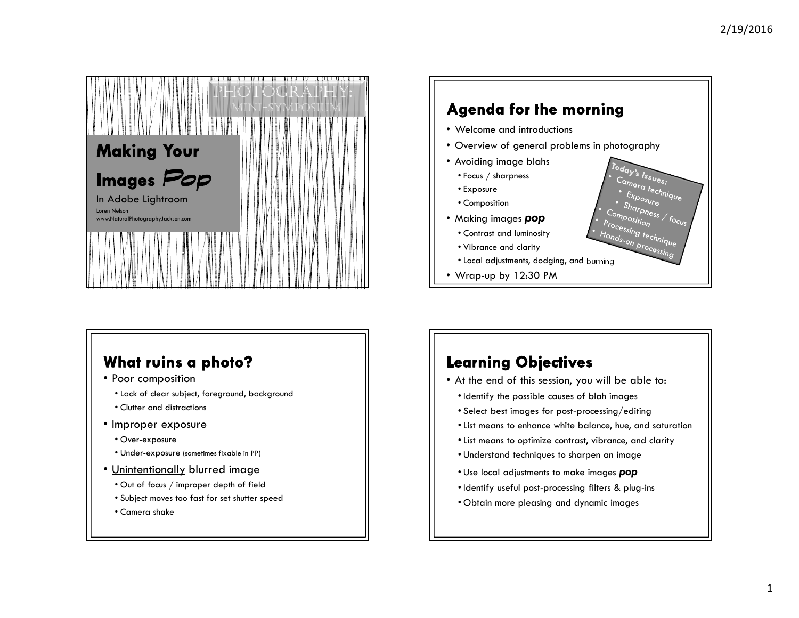

#### **Agenda for the morning** • Welcome and introductions • Overview of general problems in photography• Avoiding image blahs  $\frac{T_{\rm{0}}T_{\rm{0}}T_{\rm{0}}T_{\rm{0}}T_{\rm{0}}T_{\rm{0}}}{C_{G/m_{\rm{0}}T_{\rm{0}}T_{\rm{0}}}}$ • Focus / sharpness  $\frac{c_{a_{me} s}}{c_{a_{me} s}}$ <br>  $\frac{c_{x_{pos}}}{c_{x_{pos}} c_{x_{pre}}}}$ • Exposure $\frac{E_{X_{DOSU_{r}}}}{S_{h_{\Omega_{r}}}}$  • Composition $\frac{S_{h_{\alpha}} S_{h_{\alpha}} S_{h_{\alpha}}}{S_{h_{\alpha}} S_{h_{\alpha}} S_{\beta}}$ <br>mposition focus Composition<br>Processi • Making images **pop** Processing technique<br><sup>|</sup>ands-on processing<br>|ands-on processing • Contrast and luminosity• Vibrance and clarity • Local adjustments, dodging, and burning• Wrap-up by 12:30 PM

## What ruins a photo?

- Poor composition
- Lack of clear subject, foreground, background
- Clutter and distractions
- Improper exposure
	- Over-exposure
	- Under-exposure (sometimes fixable in PP)
- <u>Unintentionally</u> blurred image<br>• Out of focus / improper depth of fiel
	- Out of focus / improper depth of field
	- Subject moves too fast for set shutter speed
	- Camera shake

## **Learning Objectives**

- At the end of this session, you will be able to:
	- Identify the possible causes of blah images
	- Select best images for post-processing/editing
	- List means to enhance white balance, hue, and saturation
	- List means to optimize contrast, vibrance, and clarity
	- Understand techniques to sharpen an image
	- Use local adjustments to make images **pop**
- Identify useful post-processing filters & plug-ins
- Obtain more pleasing and dynamic images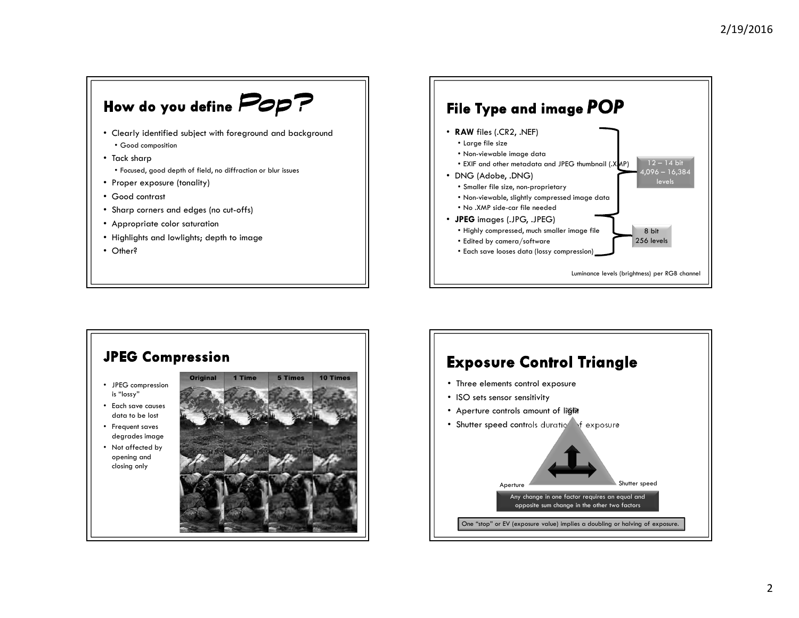



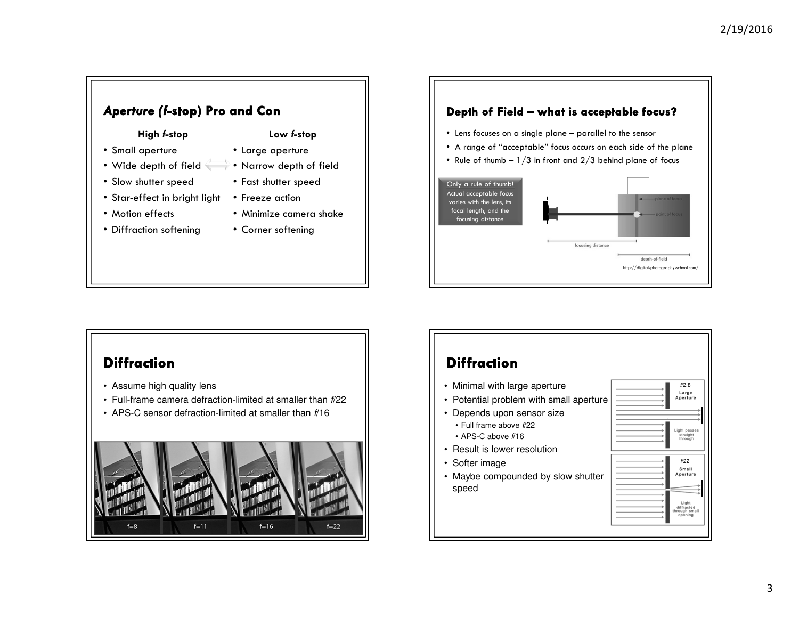## Aperture (f-stop) Pro and Con

#### High f-stop

- Small aperture
- 
- Slow shutter speed
- Star-effect in bright light Freeze action
- Motion effects
- Diffraction softening
- Low f-stop
- Large aperture
- Wide depth of field Narrow depth of field
	- Fast shutter speed
		- - Minimize camera shake
			- Corner softening



• Rule of thumb –  $1/3$  in front and  $2/3$  behind plane of focus



#### **Diffraction**

- Assume high quality lens
- Full-frame camera defraction-limited at smaller than f/22
- APS-C sensor defraction-limited at smaller than f/16



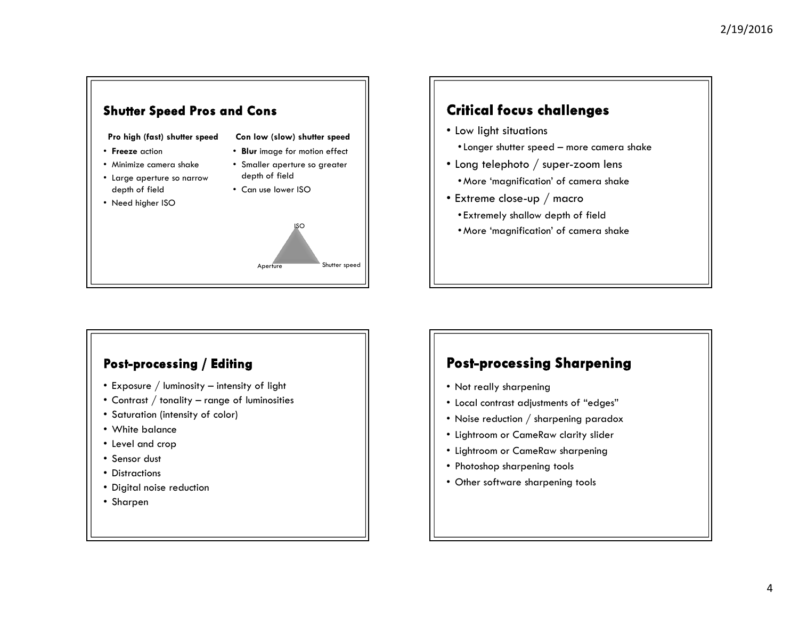

### **Critical focus challenges**

- Low light situations
	- •Longer shutter speed more camera shake
- $\bullet$  Long telephoto  $/$  super-zoom lens
	- More 'magnification' of camera shake
- Extreme close-up / macro
	- Extremely shallow depth of field
	- More 'magnification' of camera shake

#### Post-processing / Editing

- Exposure / luminosity intensity of light
- Contrast / tonality range of luminosities
- Saturation (intensity of color)
- White balance
- Level and crop
- Sensor dust
- Distractions
- Digital noise reduction
- Sharpen

### **Post-processing Sharpening**

- Not really sharpening
- Local contrast adjustments of "edges"
- Noise reduction  $\displaystyle{/}$  sharpening paradox
- Lightroom or CameRaw clarity slider
- Lightroom or CameRaw sharpening
- Photoshop sharpening tools
- Other software sharpening tools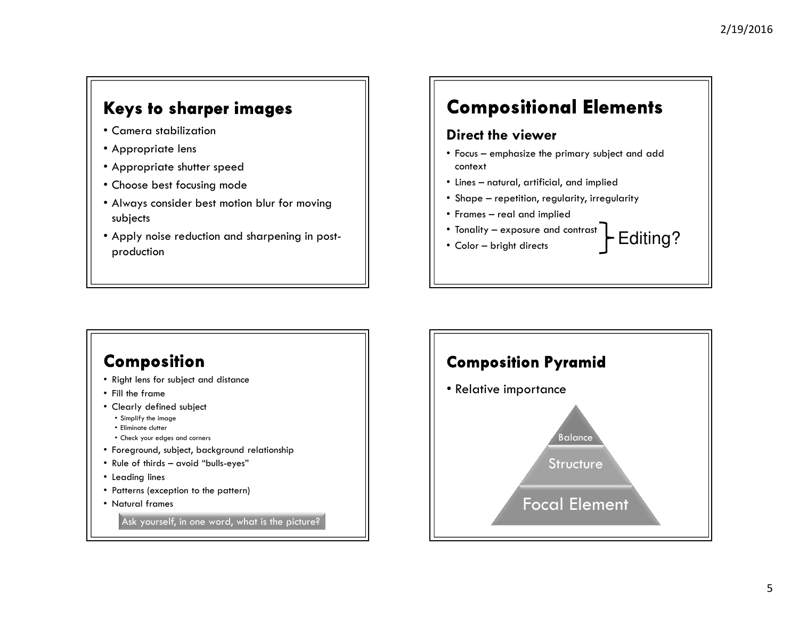## Keys to sharper images

- Camera stabilization
- Appropriate lens
- Appropriate shutter speed
- Choose best focusing mode
- Always consider best motion blur for moving subjects
- Apply noise reduction and sharpening in postproduction

# **Compositional Elements**

#### Direct the viewer

- Focus emphasize the primary subject and add context
- Lines natural, artificial, and implied
- Shape repetition, regularity, irregularity
- Frames real and implied
- Tonality exposure and contrast
- •Color – bright directs<br>Color – bright directs

#### Composition • Right lens for subject and distance• Fill the frame • Clearly defined subject • Simplify the image• Eliminate clutter • Check your edges and corners • Foreground, subject, background relationship• Rule of thirds – avoid "bulls-eyes" • Leading lines • Patterns (exception to the pattern) • Natural frames Ask yourself, in one word, what is the picture?

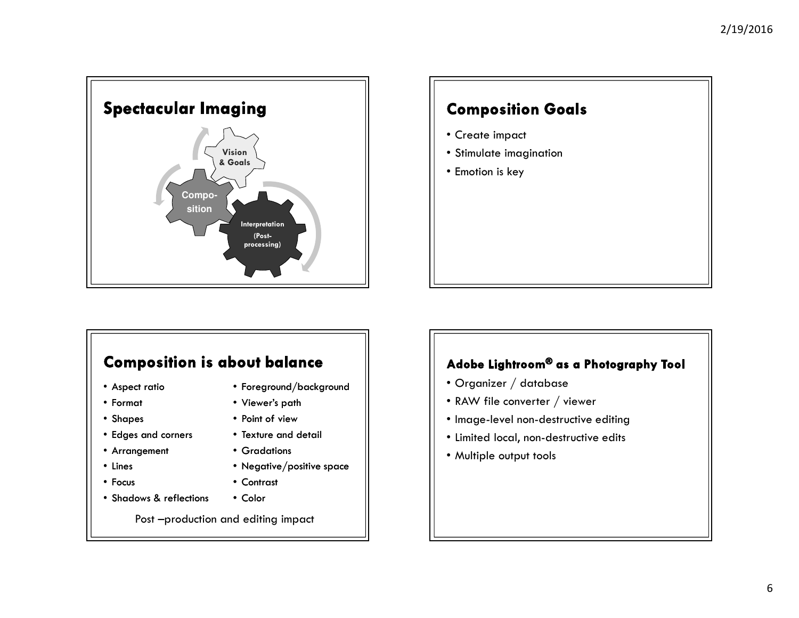

## **Composition Goals**

- Create impact
- Stimulate imagination
- Emotion is key

## **Composition is about balance**

- Aspect ratio
- Format
- Shapes
- Edges and corners
- Arrangement
- Lines
- Focus
- 
- Shadows & reflections
- Foreground/background
- Viewer's path
- Point of view
- Texture and detail
- Gradations
- Negative/positive space
- Contrast
- 
- Color

Post –production and editing impact

#### Adobe Lightroom® as a Photography Tool

- Organizer / database
- RAW file converter / viewer
- Image-level non-destructive editing
- Limited local, non-destructive edits
- Multiple output tools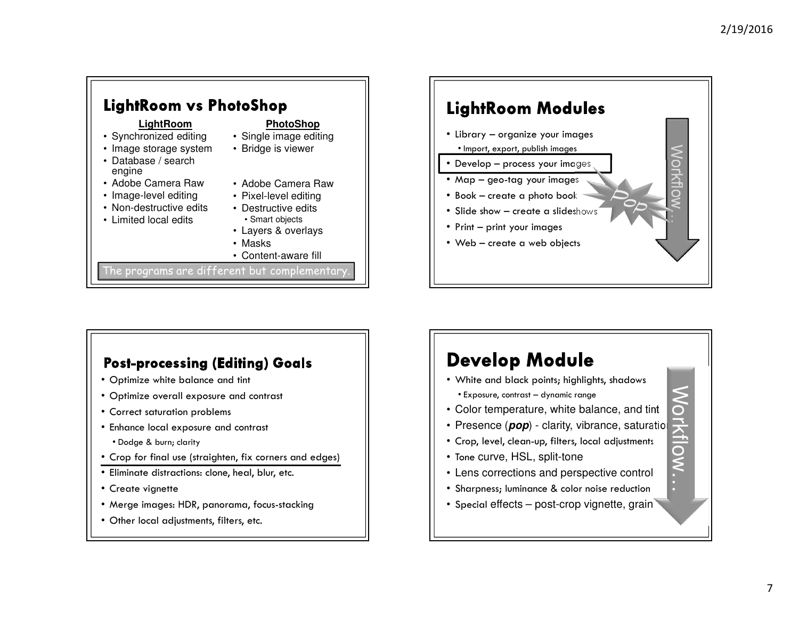Workflow…

Workflow…



#### **Post-processing (Editing) Goals**

- Optimize white balance and tint
- Optimize overall exposure and contrast
- Correct saturation problems
- Enhance local exposure and contrast
- Dodge & burn; clarity
- Crop for final use (straighten, fix corners and edges)
- Eliminate distractions: clone, heal, blur, etc.
- Create vignette
- Merge images: HDR, panorama, focus-stacking
- Other local adjustments, filters, etc.

# **Develop Module**

- White and black points; highlights, shadows • Exposure, contrast – dynamic range
- Color temperature, white balance, and tint
- Presence (*pop*) clarity, vibrance, saturation
- Crop, level, clean-up, filters, local adjustments
- Tone curve, HSL, split-tone
- Lens corrections and perspective control
- Sharpness; luminance & color noise reduction
- Special effects post-crop vignette, grain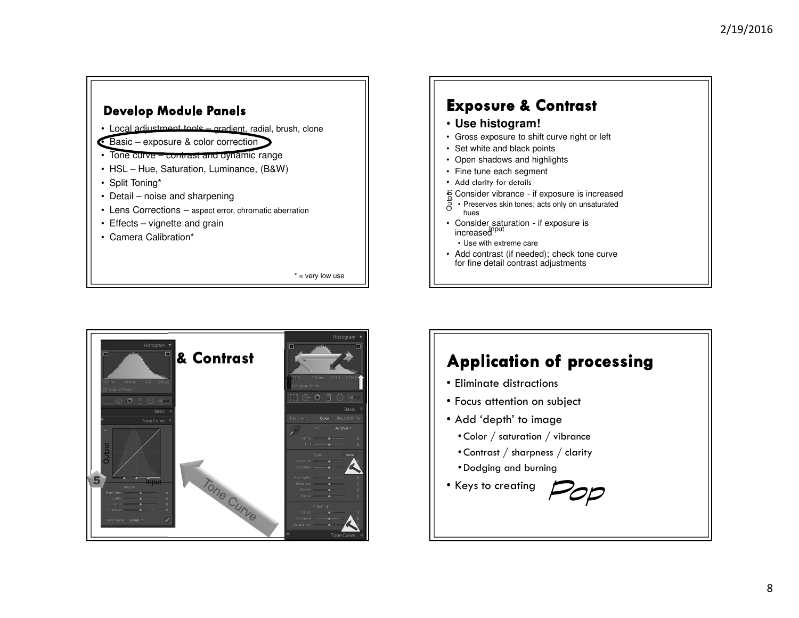#### **Develop Module Panels** • Local adjustment tools – gradient, radial, brush, clone • Basic – exposure & color correction • Tone curve – contrast and dynamic range • HSL – Hue, Saturation, Luminance, (B&W)• Split Toning\* • Detail – noise and sharpening • Lens Corrections – aspect error, chromatic aberration • Effects – vignette and grain• Camera Calibration\*

 $*$  = very low use

## **Exposure & Contrast**

- **Use histogram!**
- Gross exposure to shift curve right or left
- Set white and black points
- Open shadows and highlights
- Fine tune each segment
- Add clarity for details
- हू Consider vibrance if exposure is increased
- $\frac{2}{5}$  Consider vibrance if exposure is increased<br> $\frac{1}{5}$  Preserves skin tones; acts only on unsaturated hues
- Consider saturation if exposure is increased<sup>Iput</sup>
- Use with extreme care
- Add contrast (if needed); check tone curve for fine detail contrast adjustments



# **Application of processing**

- Eliminate distractions
- Focus attention on subject
- Add 'depth' to image
- $\bullet$  Color  $/$  saturation  $/$  vibrance
- Contrast / sharpness / clarity
- Dodging and burning
-